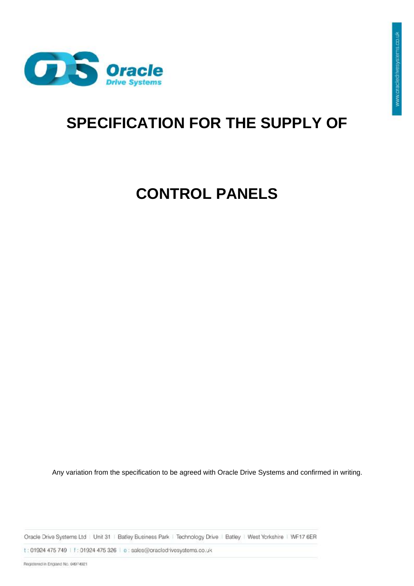

# **SPECIFICATION FOR THE SUPPLY OF**

# **CONTROL PANELS**

Any variation from the specification to be agreed with Oracle Drive Systems and confirmed in writing.

Oracle Drive Systems Ltd | Unit 31 | Batley Business Park | Technology Drive | Batley | West Yorkshire | WF17 6ER

t: 01924 475 749 | f: 01924 475 326 | e: sales@oracledrivesystems.co.uk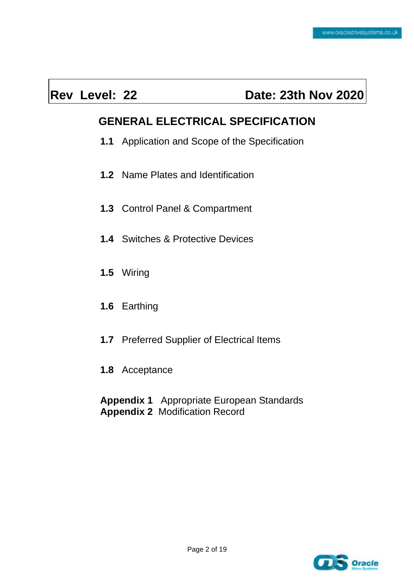# **Rev Level: 22 Date: 23th Nov 2020**

## **GENERAL ELECTRICAL SPECIFICATION**

- **1.1** Application and Scope of the Specification
- **1.2** Name Plates and Identification
- **1.3** Control Panel & Compartment
- **1.4** Switches & Protective Devices
- **1.5** Wiring
- **1.6** Earthing
- **1.7** Preferred Supplier of Electrical Items
- **1.8** Acceptance
- **Appendix 1** Appropriate European Standards **Appendix 2** Modification Record

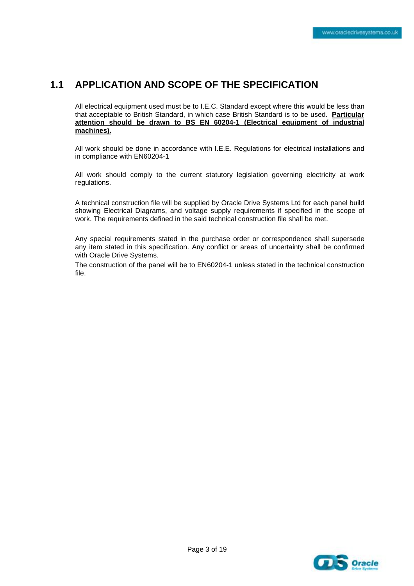#### **1.1 APPLICATION AND SCOPE OF THE SPECIFICATION**

All electrical equipment used must be to I.E.C. Standard except where this would be less than that acceptable to British Standard, in which case British Standard is to be used. **Particular attention should be drawn to BS EN 60204-1 (Electrical equipment of industrial machines).**

All work should be done in accordance with I.E.E. Regulations for electrical installations and in compliance with EN60204-1

All work should comply to the current statutory legislation governing electricity at work regulations.

A technical construction file will be supplied by Oracle Drive Systems Ltd for each panel build showing Electrical Diagrams, and voltage supply requirements if specified in the scope of work. The requirements defined in the said technical construction file shall be met.

Any special requirements stated in the purchase order or correspondence shall supersede any item stated in this specification. Any conflict or areas of uncertainty shall be confirmed with Oracle Drive Systems.

The construction of the panel will be to EN60204-1 unless stated in the technical construction file.

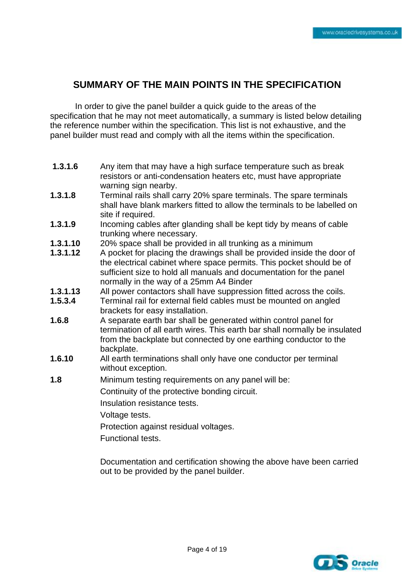#### **SUMMARY OF THE MAIN POINTS IN THE SPECIFICATION**

In order to give the panel builder a quick quide to the areas of the specification that he may not meet automatically, a summary is listed below detailing the reference number within the specification. This list is not exhaustive, and the panel builder must read and comply with all the items within the specification.

- **1.3.1.6** Any item that may have a high surface temperature such as break resistors or anti-condensation heaters etc, must have appropriate warning sign nearby.
- **1.3.1.8** Terminal rails shall carry 20% spare terminals. The spare terminals shall have blank markers fitted to allow the terminals to be labelled on site if required.
- **1.3.1.9** Incoming cables after glanding shall be kept tidy by means of cable trunking where necessary.
- **1.3.1.10** 20% space shall be provided in all trunking as a minimum
- **1.3.1.12** A pocket for placing the drawings shall be provided inside the door of the electrical cabinet where space permits. This pocket should be of sufficient size to hold all manuals and documentation for the panel normally in the way of a 25mm A4 Binder
- **1.3.1.13** All power contactors shall have suppression fitted across the coils.
- **1.5.3.4** Terminal rail for external field cables must be mounted on angled brackets for easy installation.
- **1.6.8** A separate earth bar shall be generated within control panel for termination of all earth wires. This earth bar shall normally be insulated from the backplate but connected by one earthing conductor to the backplate.
- **1.6.10** All earth terminations shall only have one conductor per terminal without exception.
- **1.8** Minimum testing requirements on any panel will be:

Continuity of the protective bonding circuit.

Insulation resistance tests.

Voltage tests.

Protection against residual voltages.

Functional tests.

Documentation and certification showing the above have been carried out to be provided by the panel builder.

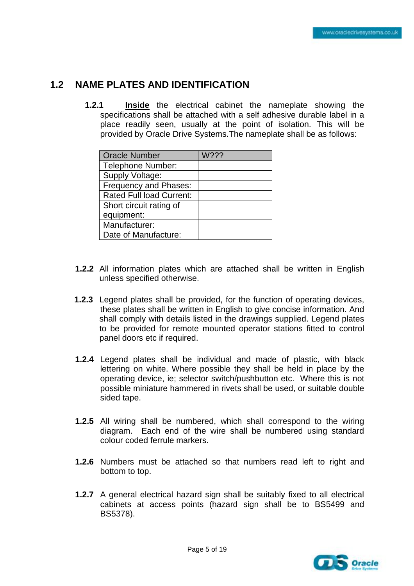#### **1.2 NAME PLATES AND IDENTIFICATION**

 **1.2.1 Inside** the electrical cabinet the nameplate showing the specifications shall be attached with a self adhesive durable label in a place readily seen, usually at the point of isolation. This will be provided by Oracle Drive Systems.The nameplate shall be as follows:

| <b>Oracle Number</b>            | W??? |
|---------------------------------|------|
| <b>Telephone Number:</b>        |      |
| Supply Voltage:                 |      |
| Frequency and Phases:           |      |
| <b>Rated Full load Current:</b> |      |
| Short circuit rating of         |      |
| equipment:                      |      |
| Manufacturer:                   |      |
| Date of Manufacture:            |      |

- **1.2.2** All information plates which are attached shall be written in English unless specified otherwise.
- **1.2.3** Legend plates shall be provided, for the function of operating devices, these plates shall be written in English to give concise information. And shall comply with details listed in the drawings supplied. Legend plates to be provided for remote mounted operator stations fitted to control panel doors etc if required.
- **1.2.4** Legend plates shall be individual and made of plastic, with black lettering on white. Where possible they shall be held in place by the operating device, ie; selector switch/pushbutton etc. Where this is not possible miniature hammered in rivets shall be used, or suitable double sided tape.
- **1.2.5** All wiring shall be numbered, which shall correspond to the wiring diagram. Each end of the wire shall be numbered using standard colour coded ferrule markers.
- **1.2.6** Numbers must be attached so that numbers read left to right and bottom to top.
- **1.2.7** A general electrical hazard sign shall be suitably fixed to all electrical cabinets at access points (hazard sign shall be to BS5499 and BS5378).

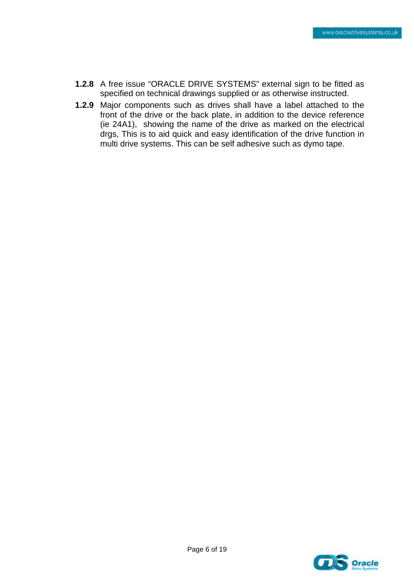- **1.2.8** A free issue "ORACLE DRIVE SYSTEMS" external sign to be fitted as specified on technical drawings supplied or as otherwise instructed.
- **1.2.9** Major components such as drives shall have a label attached to the front of the drive or the back plate, in addition to the device reference (ie 24A1), showing the name of the drive as marked on the electrical drgs, This is to aid quick and easy identification of the drive function in multi drive systems. This can be self adhesive such as dymo tape.

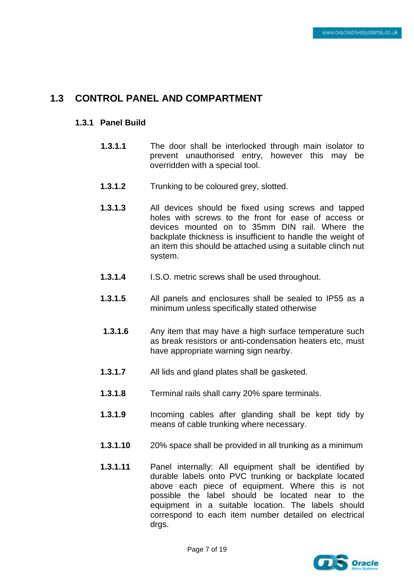#### **1.3 CONTROL PANEL AND COMPARTMENT**

#### **1.3.1 Panel Build**

- **1.3.1.1** The door shall be interlocked through main isolator to prevent unauthorised entry, however this may be overridden with a special tool.
- **1.3.1.2** Trunking to be coloured grey, slotted.
- **1.3.1.3** All devices should be fixed using screws and tapped holes with screws to the front for ease of access or devices mounted on to 35mm DIN rail. Where the backplate thickness is insufficient to handle the weight of an item this should be attached using a suitable clinch nut system.
- **1.3.1.4** I.S.O. metric screws shall be used throughout.
- **1.3.1.5** All panels and enclosures shall be sealed to IP55 as a minimum unless specifically stated otherwise
- **1.3.1.6** Any item that may have a high surface temperature such as break resistors or anti-condensation heaters etc, must have appropriate warning sign nearby.
- **1.3.1.7** All lids and gland plates shall be gasketed.
- **1.3.1.8** Terminal rails shall carry 20% spare terminals.
- **1.3.1.9** Incoming cables after glanding shall be kept tidy by means of cable trunking where necessary.
- **1.3.1.10** 20% space shall be provided in all trunking as a minimum
- **1.3.1.11** Panel internally: All equipment shall be identified by durable labels onto PVC trunking or backplate located above each piece of equipment. Where this is not possible the label should be located near to the equipment in a suitable location. The labels should correspond to each item number detailed on electrical dras.

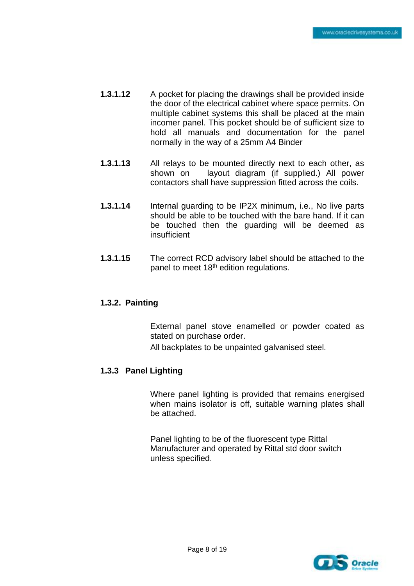- **1.3.1.12** A pocket for placing the drawings shall be provided inside the door of the electrical cabinet where space permits. On multiple cabinet systems this shall be placed at the main incomer panel. This pocket should be of sufficient size to hold all manuals and documentation for the panel normally in the way of a 25mm A4 Binder
- **1.3.1.13** All relays to be mounted directly next to each other, as shown on layout diagram (if supplied.) All power contactors shall have suppression fitted across the coils.
- **1.3.1.14** Internal guarding to be IP2X minimum, i.e., No live parts should be able to be touched with the bare hand. If it can be touched then the guarding will be deemed as insufficient
- **1.3.1.15** The correct RCD advisory label should be attached to the panel to meet 18<sup>th</sup> edition regulations.

#### **1.3.2. Painting**

External panel stove enamelled or powder coated as stated on purchase order.

All backplates to be unpainted galvanised steel.

#### **1.3.3 Panel Lighting**

Where panel lighting is provided that remains energised when mains isolator is off, suitable warning plates shall be attached.

Panel lighting to be of the fluorescent type Rittal Manufacturer and operated by Rittal std door switch unless specified.

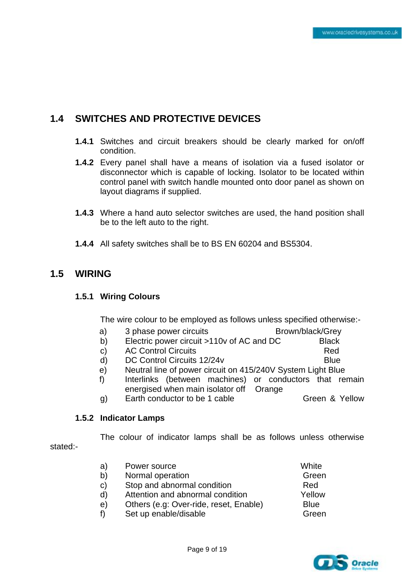#### **1.4 SWITCHES AND PROTECTIVE DEVICES**

- **1.4.1** Switches and circuit breakers should be clearly marked for on/off condition.
- **1.4.2** Every panel shall have a means of isolation via a fused isolator or disconnector which is capable of locking. Isolator to be located within control panel with switch handle mounted onto door panel as shown on layout diagrams if supplied.
- **1.4.3** Where a hand auto selector switches are used, the hand position shall be to the left auto to the right.
- **1.4.4** All safety switches shall be to BS EN 60204 and BS5304.

#### **1.5 WIRING**

#### **1.5.1 Wiring Colours**

The wire colour to be employed as follows unless specified otherwise:-

- a) 3 phase power circuits Brown/black/Grey
- b) Electric power circuit >110v of AC and DC Black
- c) AC Control Circuits Red
- d) DC Control Circuits 12/24v Blue
- e) Neutral line of power circuit on 415/240V System Light Blue
- f) Interlinks (between machines) or conductors that remain energised when main isolator off Orange
- g) Earth conductor to be 1 cable Green & Yellow

#### **1.5.2 Indicator Lamps**

 The colour of indicator lamps shall be as follows unless otherwise stated:-

| Stop and abnormal condition<br>Red<br>C)<br>Attention and abnormal condition<br>Yellow<br>d)<br>Others (e.g: Over-ride, reset, Enable)<br><b>Blue</b><br>e) | a)<br>b) | Power source<br>Normal operation | White<br>Green |
|-------------------------------------------------------------------------------------------------------------------------------------------------------------|----------|----------------------------------|----------------|
|                                                                                                                                                             |          | Set up enable/disable            | Green          |

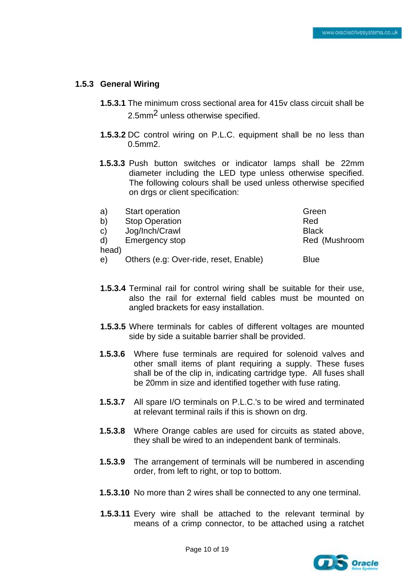#### **1.5.3 General Wiring**

- **1.5.3.1** The minimum cross sectional area for 415v class circuit shall be 2.5mm<sup>2</sup> unless otherwise specified.
- **1.5.3.2** DC control wiring on P.L.C. equipment shall be no less than 0.5mm2.
- **1.5.3.3** Push button switches or indicator lamps shall be 22mm diameter including the LED type unless otherwise specified. The following colours shall be used unless otherwise specified on drgs or client specification:

| a)    | Start operation                        | Green         |
|-------|----------------------------------------|---------------|
| b)    | <b>Stop Operation</b>                  | Red           |
| C)    | Jog/Inch/Crawl                         | <b>Black</b>  |
| d)    | Emergency stop                         | Red (Mushroom |
| head) |                                        |               |
| e)    | Others (e.g: Over-ride, reset, Enable) | <b>Blue</b>   |

- **1.5.3.4** Terminal rail for control wiring shall be suitable for their use, also the rail for external field cables must be mounted on angled brackets for easy installation.
- **1.5.3.5** Where terminals for cables of different voltages are mounted side by side a suitable barrier shall be provided.
- **1.5.3.6** Where fuse terminals are required for solenoid valves and other small items of plant requiring a supply. These fuses shall be of the clip in, indicating cartridge type. All fuses shall be 20mm in size and identified together with fuse rating.
- **1.5.3.7** All spare I/O terminals on P.L.C.'s to be wired and terminated at relevant terminal rails if this is shown on drg.
- **1.5.3.8** Where Orange cables are used for circuits as stated above, they shall be wired to an independent bank of terminals.
- **1.5.3.9** The arrangement of terminals will be numbered in ascending order, from left to right, or top to bottom.
- **1.5.3.10** No more than 2 wires shall be connected to any one terminal.
- **1.5.3.11** Every wire shall be attached to the relevant terminal by means of a crimp connector, to be attached using a ratchet

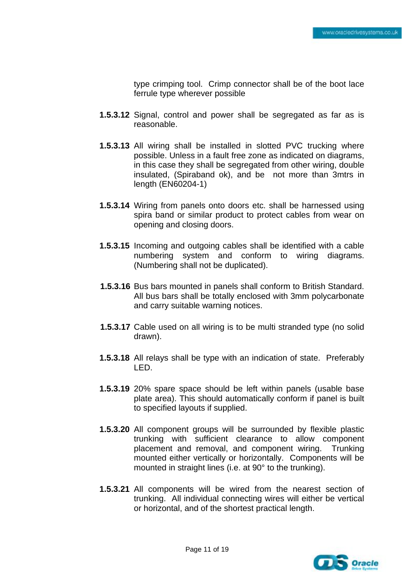type crimping tool. Crimp connector shall be of the boot lace ferrule type wherever possible

- **1.5.3.12** Signal, control and power shall be segregated as far as is reasonable.
- **1.5.3.13** All wiring shall be installed in slotted PVC trucking where possible. Unless in a fault free zone as indicated on diagrams, in this case they shall be segregated from other wiring, double insulated, (Spiraband ok), and be not more than 3mtrs in length (EN60204-1)
- **1.5.3.14** Wiring from panels onto doors etc. shall be harnessed using spira band or similar product to protect cables from wear on opening and closing doors.
- **1.5.3.15** Incoming and outgoing cables shall be identified with a cable numbering system and conform to wiring diagrams. (Numbering shall not be duplicated).
- **1.5.3.16** Bus bars mounted in panels shall conform to British Standard. All bus bars shall be totally enclosed with 3mm polycarbonate and carry suitable warning notices.
- **1.5.3.17** Cable used on all wiring is to be multi stranded type (no solid drawn).
- **1.5.3.18** All relays shall be type with an indication of state. Preferably LED.
- **1.5.3.19** 20% spare space should be left within panels (usable base plate area). This should automatically conform if panel is built to specified layouts if supplied.
- **1.5.3.20** All component groups will be surrounded by flexible plastic trunking with sufficient clearance to allow component placement and removal, and component wiring. Trunking mounted either vertically or horizontally. Components will be mounted in straight lines (i.e. at 90° to the trunking).
- **1.5.3.21** All components will be wired from the nearest section of trunking. All individual connecting wires will either be vertical or horizontal, and of the shortest practical length.

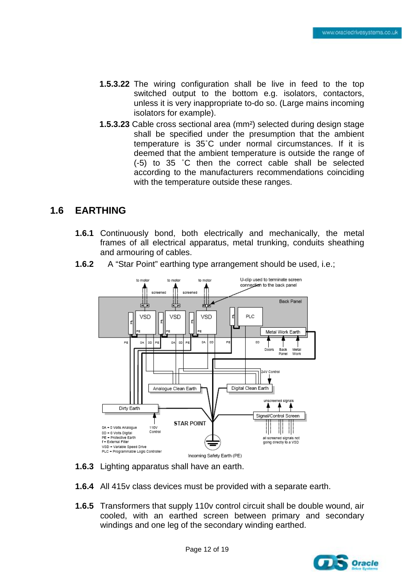- **1.5.3.22** The wiring configuration shall be live in feed to the top switched output to the bottom e.g. isolators, contactors, unless it is very inappropriate to-do so. (Large mains incoming isolators for example).
- **1.5.3.23** Cable cross sectional area (mm²) selected during design stage shall be specified under the presumption that the ambient temperature is 35˚C under normal circumstances. If it is deemed that the ambient temperature is outside the range of (-5) to 35 ˚C then the correct cable shall be selected according to the manufacturers recommendations coinciding with the temperature outside these ranges.

#### **1.6 EARTHING**

**1.6.1** Continuously bond, both electrically and mechanically, the metal frames of all electrical apparatus, metal trunking, conduits sheathing and armouring of cables.



**1.6.2** A "Star Point" earthing type arrangement should be used, i.e.;

- **1.6.3** Lighting apparatus shall have an earth.
- **1.6.4** All 415v class devices must be provided with a separate earth.
- **1.6.5** Transformers that supply 110v control circuit shall be double wound, air cooled, with an earthed screen between primary and secondary windings and one leg of the secondary winding earthed.

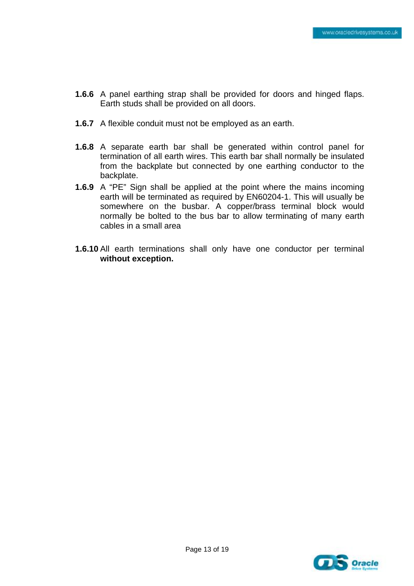- **1.6.6** A panel earthing strap shall be provided for doors and hinged flaps. Earth studs shall be provided on all doors.
- **1.6.7** A flexible conduit must not be employed as an earth.
- **1.6.8** A separate earth bar shall be generated within control panel for termination of all earth wires. This earth bar shall normally be insulated from the backplate but connected by one earthing conductor to the backplate.
- **1.6.9** A "PE" Sign shall be applied at the point where the mains incoming earth will be terminated as required by EN60204-1. This will usually be somewhere on the busbar. A copper/brass terminal block would normally be bolted to the bus bar to allow terminating of many earth cables in a small area
- **1.6.10** All earth terminations shall only have one conductor per terminal **without exception.**

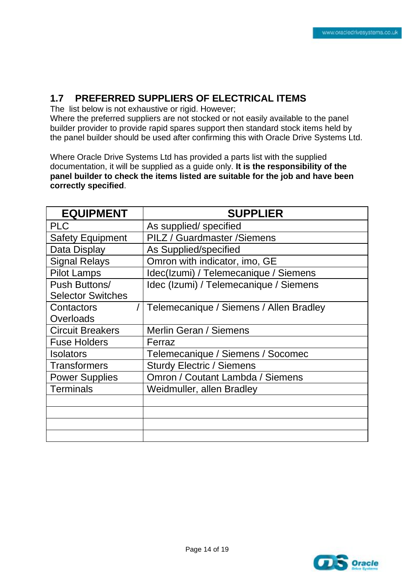#### **1.7 PREFERRED SUPPLIERS OF ELECTRICAL ITEMS**

The list below is not exhaustive or rigid. However;

Where the preferred suppliers are not stocked or not easily available to the panel builder provider to provide rapid spares support then standard stock items held by the panel builder should be used after confirming this with Oracle Drive Systems Ltd.

Where Oracle Drive Systems Ltd has provided a parts list with the supplied documentation, it will be supplied as a guide only. **It is the responsibility of the panel builder to check the items listed are suitable for the job and have been correctly specified**.

| <b>EQUIPMENT</b>         | <b>SUPPLIER</b>                         |
|--------------------------|-----------------------------------------|
| <b>PLC</b>               | As supplied/specified                   |
| <b>Safety Equipment</b>  | <b>PILZ / Guardmaster / Siemens</b>     |
| Data Display             | As Supplied/specified                   |
| <b>Signal Relays</b>     | Omron with indicator, imo, GE           |
| <b>Pilot Lamps</b>       | Idec(Izumi) / Telemecanique / Siemens   |
| Push Buttons/            | Idec (Izumi) / Telemecanique / Siemens  |
| <b>Selector Switches</b> |                                         |
| Contactors               | Telemecanique / Siemens / Allen Bradley |
| Overloads                |                                         |
| <b>Circuit Breakers</b>  | Merlin Geran / Siemens                  |
| <b>Fuse Holders</b>      | Ferraz                                  |
| <b>Isolators</b>         | Telemecanique / Siemens / Socomec       |
| <b>Transformers</b>      | <b>Sturdy Electric / Siemens</b>        |
| <b>Power Supplies</b>    | Omron / Coutant Lambda / Siemens        |
| <b>Terminals</b>         | Weidmuller, allen Bradley               |
|                          |                                         |
|                          |                                         |
|                          |                                         |
|                          |                                         |

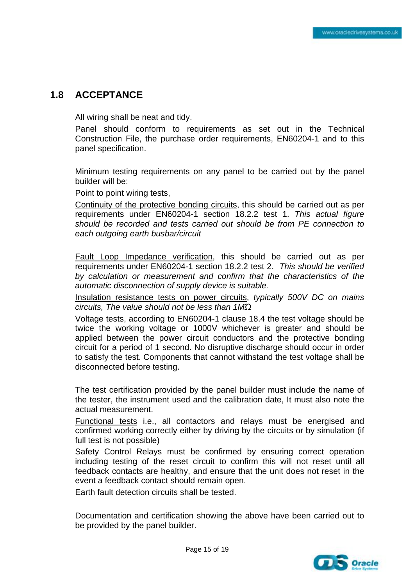#### **1.8 ACCEPTANCE**

All wiring shall be neat and tidy.

Panel should conform to requirements as set out in the Technical Construction File, the purchase order requirements, EN60204-1 and to this panel specification.

Minimum testing requirements on any panel to be carried out by the panel builder will be:

Point to point wiring tests,

Continuity of the protective bonding circuits, this should be carried out as per requirements under EN60204-1 section 18.2.2 test 1. *This actual figure should be recorded and tests carried out should be from PE connection to each outgoing earth busbar/circuit* 

Fault Loop Impedance verification, this should be carried out as per requirements under EN60204-1 section 18.2.2 test 2. *This should be verified by calculation or measurement and confirm that the characteristics of the automatic disconnection of supply device is suitable.* 

Insulation resistance tests on power circuits, *typically 500V DC on mains circuits, The value should not be less than 1MΏ*

Voltage tests, according to EN60204-1 clause 18.4 the test voltage should be twice the working voltage or 1000V whichever is greater and should be applied between the power circuit conductors and the protective bonding circuit for a period of 1 second. No disruptive discharge should occur in order to satisfy the test. Components that cannot withstand the test voltage shall be disconnected before testing.

The test certification provided by the panel builder must include the name of the tester, the instrument used and the calibration date, It must also note the actual measurement.

Functional tests i.e., all contactors and relays must be energised and confirmed working correctly either by driving by the circuits or by simulation (if full test is not possible)

Safety Control Relays must be confirmed by ensuring correct operation including testing of the reset circuit to confirm this will not reset until all feedback contacts are healthy, and ensure that the unit does not reset in the event a feedback contact should remain open.

Earth fault detection circuits shall be tested.

Documentation and certification showing the above have been carried out to be provided by the panel builder.

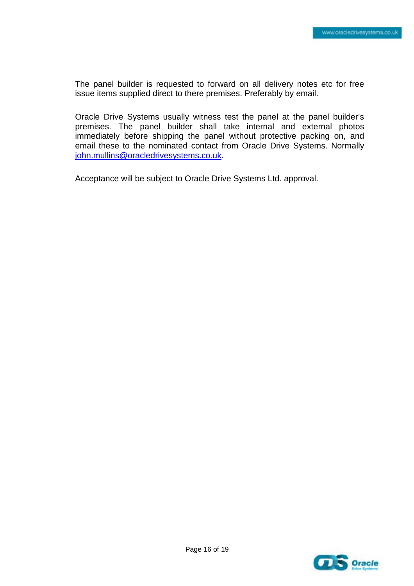The panel builder is requested to forward on all delivery notes etc for free issue items supplied direct to there premises. Preferably by email.

Oracle Drive Systems usually witness test the panel at the panel builder's premises. The panel builder shall take internal and external photos immediately before shipping the panel without protective packing on, and email these to the nominated contact from Oracle Drive Systems. Normally [john.mullins@oracledrivesystems.co.uk](mailto:john.mullins@oracledrivesystems.co.uk).

Acceptance will be subject to Oracle Drive Systems Ltd. approval.

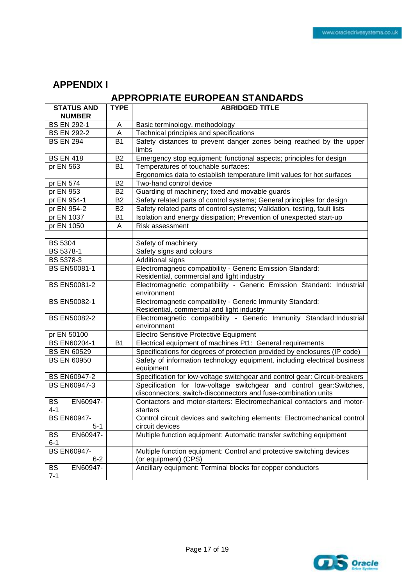#### **APPENDIX I**

## **APPROPRIATE EUROPEAN STANDARDS**

| <b>STATUS AND</b><br><b>NUMBER</b> | <b>TYPE</b>               | <b>ABRIDGED TITLE</b>                                                                                                                 |
|------------------------------------|---------------------------|---------------------------------------------------------------------------------------------------------------------------------------|
| <b>BS EN 292-1</b>                 | $\boldsymbol{\mathsf{A}}$ | Basic terminology, methodology                                                                                                        |
| <b>BS EN 292-2</b>                 | $\overline{A}$            | Technical principles and specifications                                                                                               |
| <b>BS EN 294</b>                   | <b>B1</b>                 | Safety distances to prevent danger zones being reached by the upper<br>limbs                                                          |
| <b>BS EN 418</b>                   | $\overline{B2}$           | Emergency stop equipment; functional aspects; principles for design                                                                   |
| pr EN 563                          | <b>B1</b>                 | Temperatures of touchable surfaces:<br>Ergonomics data to establish temperature limit values for hot surfaces                         |
| pr EN $5\overline{74}$             | <b>B2</b>                 | Two-hand control device                                                                                                               |
| pr EN 953                          | <b>B2</b>                 | Guarding of machinery; fixed and movable guards                                                                                       |
| pr EN 954-1                        | B2                        | Safety related parts of control systems; General principles for design                                                                |
| pr EN 954-2                        | <b>B2</b>                 | Safety related parts of control systems; Validation, testing, fault lists                                                             |
| pr EN 1037                         | <b>B1</b>                 | Isolation and energy dissipation; Prevention of unexpected start-up                                                                   |
| pr EN 1050                         | A                         | Risk assessment                                                                                                                       |
|                                    |                           |                                                                                                                                       |
| <b>BS 5304</b>                     |                           | Safety of machinery                                                                                                                   |
| BS 5378-1                          |                           | Safety signs and colours                                                                                                              |
| BS 5378-3                          |                           | Additional signs                                                                                                                      |
| <b>BS EN50081-1</b>                |                           | Electromagnetic compatibility - Generic Emission Standard:<br>Residential, commercial and light industry                              |
| <b>BS EN50081-2</b>                |                           | Electromagnetic compatibility - Generic Emission Standard: Industrial<br>environment                                                  |
| <b>BS EN50082-1</b>                |                           | Electromagnetic compatibility - Generic Immunity Standard:<br>Residential, commercial and light industry                              |
| <b>BS EN50082-2</b>                |                           | Electromagnetic compatibility - Generic Immunity Standard:Industrial<br>environment                                                   |
| pr EN 50100                        |                           | Electro Sensitive Protective Equipment                                                                                                |
| <b>BS EN60204-1</b>                | <b>B1</b>                 | Electrical equipment of machines Pt1: General requirements                                                                            |
| <b>BS EN 60529</b>                 |                           | Specifications for degrees of protection provided by enclosures (IP code)                                                             |
| <b>BS EN 60950</b>                 |                           | Safety of information technology equipment, including electrical business<br>equipment                                                |
| <b>BS EN60947-2</b>                |                           | Specification for low-voltage switchgear and control gear: Circuit-breakers                                                           |
| <b>BS EN60947-3</b>                |                           | Specification for low-voltage switchgear and control gear:Switches,<br>disconnectors, switch-disconnectors and fuse-combination units |
| <b>BS</b><br>EN60947-<br>$4 - 1$   |                           | Contactors and motor-starters: Electromechanical contactors and motor-<br>starters                                                    |
| <b>BS EN60947-</b><br>$5-1$        |                           | Control circuit devices and switching elements: Electromechanical control<br>circuit devices                                          |
| <b>BS</b><br>EN60947-<br>$6 - 1$   |                           | Multiple function equipment: Automatic transfer switching equipment                                                                   |
| <b>BS EN60947-</b><br>$6 - 2$      |                           | Multiple function equipment: Control and protective switching devices<br>(or equipment) (CPS)                                         |
| EN60947-<br><b>BS</b><br>$7 - 1$   |                           | Ancillary equipment: Terminal blocks for copper conductors                                                                            |

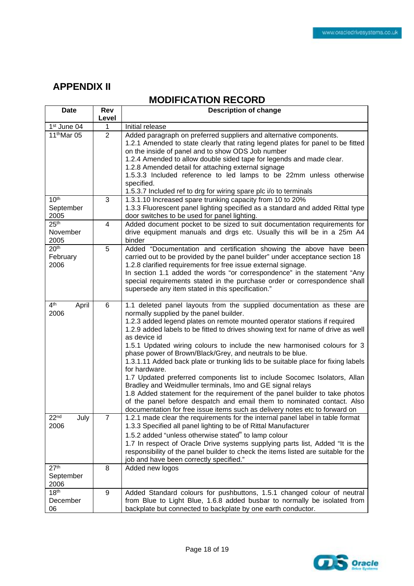### **APPENDIX II**

#### **MODIFICATION RECORD**

| <b>Date</b>                           | Rev<br>Level   | <b>Description of change</b>                                                                                                                                                                                                                                                                                                                                                                                                                                                                                                                                                                                                                                                                                                                                                                                                                                                                                                         |
|---------------------------------------|----------------|--------------------------------------------------------------------------------------------------------------------------------------------------------------------------------------------------------------------------------------------------------------------------------------------------------------------------------------------------------------------------------------------------------------------------------------------------------------------------------------------------------------------------------------------------------------------------------------------------------------------------------------------------------------------------------------------------------------------------------------------------------------------------------------------------------------------------------------------------------------------------------------------------------------------------------------|
| 1 <sup>st</sup> June 04               | 1              | Initial release                                                                                                                                                                                                                                                                                                                                                                                                                                                                                                                                                                                                                                                                                                                                                                                                                                                                                                                      |
| 11 <sup>th</sup> Mar 05               | 2              | Added paragraph on preferred suppliers and alternative components.<br>1.2.1 Amended to state clearly that rating legend plates for panel to be fitted<br>on the inside of panel and to show ODS Job number<br>1.2.4 Amended to allow double sided tape for legends and made clear.<br>1.2.8 Amended detail for attaching external signage<br>1.5.3.3 Included reference to led lamps to be 22mm unless otherwise<br>specified.<br>1.5.3.7 Included ref to drg for wiring spare plc i/o to terminals                                                                                                                                                                                                                                                                                                                                                                                                                                  |
| 10 <sup>th</sup><br>September<br>2005 | 3              | 1.3.1.10 Increased spare trunking capacity from 10 to 20%<br>1.3.3 Fluorescent panel lighting specified as a standard and added Rittal type<br>door switches to be used for panel lighting.                                                                                                                                                                                                                                                                                                                                                                                                                                                                                                                                                                                                                                                                                                                                          |
| 25 <sup>th</sup><br>November<br>2005  | $\overline{4}$ | Added document pocket to be sized to suit documentation requirements for<br>drive equipment manuals and drgs etc. Usually this will be in a 25m A4<br>binder                                                                                                                                                                                                                                                                                                                                                                                                                                                                                                                                                                                                                                                                                                                                                                         |
| 20 <sup>th</sup><br>February<br>2006  | 5              | Added "Documentation and certification showing the above have been<br>carried out to be provided by the panel builder" under acceptance section 18<br>1.2.8 clarified requirements for free issue external signage.<br>In section 1.1 added the words "or correspondence" in the statement "Any<br>special requirements stated in the purchase order or correspondence shall<br>supersede any item stated in this specification."                                                                                                                                                                                                                                                                                                                                                                                                                                                                                                    |
| 4 <sup>th</sup><br>April<br>2006      | 6              | 1.1 deleted panel layouts from the supplied documentation as these are<br>normally supplied by the panel builder.<br>1.2.3 added legend plates on remote mounted operator stations if required<br>1.2.9 added labels to be fitted to drives showing text for name of drive as well<br>as device id<br>1.5.1 Updated wiring colours to include the new harmonised colours for 3<br>phase power of Brown/Black/Grey, and neutrals to be blue.<br>1.3.1.11 Added back plate or trunking lids to be suitable place for fixing labels<br>for hardware.<br>1.7 Updated preferred components list to include Socomec Isolators, Allan<br>Bradley and Weidmuller terminals, Imo and GE signal relays<br>1.8 Added statement for the requirement of the panel builder to take photos<br>of the panel before despatch and email them to nominated contact. Also<br>documentation for free issue items such as delivery notes etc to forward on |
| 22 <sup>nd</sup><br>July<br>2006      | $\sqrt{2}$     | 1.2.1 made clear the requirements for the internal panel label in table format<br>1.3.3 Specified all panel lighting to be of Rittal Manufacturer<br>1.5.2 added "unless otherwise stated" to lamp colour<br>1.7 In respect of Oracle Drive systems supplying parts list, Added "It is the<br>responsibility of the panel builder to check the items listed are suitable for the<br>job and have been correctly specified."                                                                                                                                                                                                                                                                                                                                                                                                                                                                                                          |
| 27 <sup>th</sup><br>September<br>2006 | 8              | Added new logos                                                                                                                                                                                                                                                                                                                                                                                                                                                                                                                                                                                                                                                                                                                                                                                                                                                                                                                      |
| 18 <sup>th</sup><br>December<br>06    | 9              | Added Standard colours for pushbuttons, 1.5.1 changed colour of neutral<br>from Blue to Light Blue, 1.6.8 added busbar to normally be isolated from<br>backplate but connected to backplate by one earth conductor.                                                                                                                                                                                                                                                                                                                                                                                                                                                                                                                                                                                                                                                                                                                  |